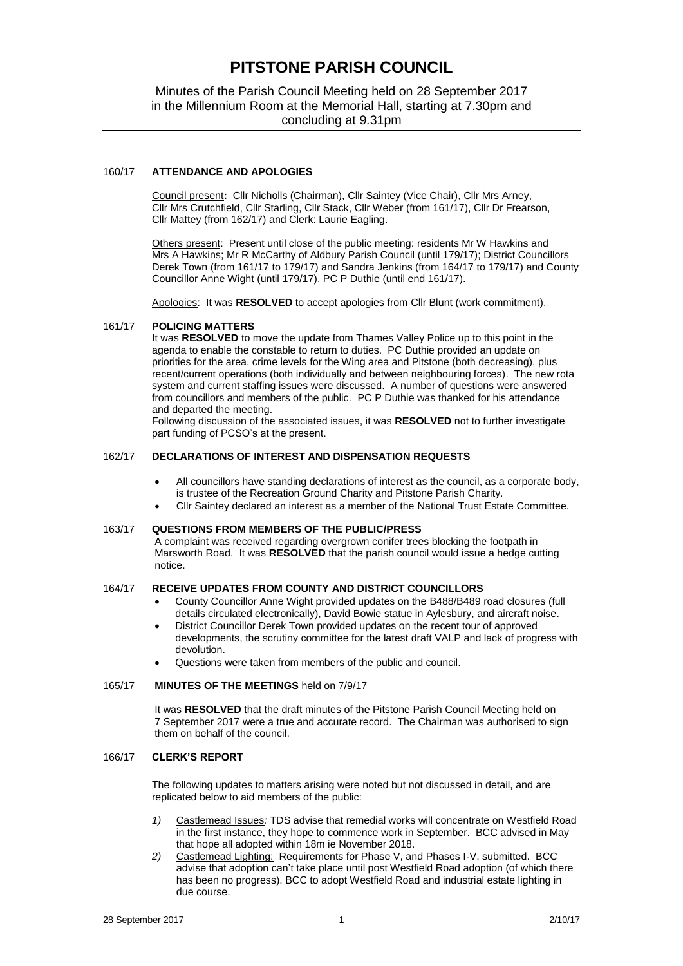# **PITSTONE PARISH COUNCIL**

Minutes of the Parish Council Meeting held on 28 September 2017 in the Millennium Room at the Memorial Hall, starting at 7.30pm and concluding at 9.31pm

## 160/17 **ATTENDANCE AND APOLOGIES**

Council present**:** Cllr Nicholls (Chairman), Cllr Saintey (Vice Chair), Cllr Mrs Arney, Cllr Mrs Crutchfield, Cllr Starling, Cllr Stack, Cllr Weber (from 161/17), Cllr Dr Frearson, Cllr Mattey (from 162/17) and Clerk: Laurie Eagling.

Others present: Present until close of the public meeting: residents Mr W Hawkins and Mrs A Hawkins; Mr R McCarthy of Aldbury Parish Council (until 179/17); District Councillors Derek Town (from 161/17 to 179/17) and Sandra Jenkins (from 164/17 to 179/17) and County Councillor Anne Wight (until 179/17). PC P Duthie (until end 161/17).

Apologies: It was **RESOLVED** to accept apologies from Cllr Blunt (work commitment).

#### 161/17 **POLICING MATTERS**

It was **RESOLVED** to move the update from Thames Valley Police up to this point in the agenda to enable the constable to return to duties. PC Duthie provided an update on priorities for the area, crime levels for the Wing area and Pitstone (both decreasing), plus recent/current operations (both individually and between neighbouring forces). The new rota system and current staffing issues were discussed. A number of questions were answered from councillors and members of the public. PC P Duthie was thanked for his attendance and departed the meeting.

Following discussion of the associated issues, it was **RESOLVED** not to further investigate part funding of PCSO's at the present.

## 162/17 **DECLARATIONS OF INTEREST AND DISPENSATION REQUESTS**

- All councillors have standing declarations of interest as the council, as a corporate body, is trustee of the Recreation Ground Charity and Pitstone Parish Charity.
- Cllr Saintey declared an interest as a member of the National Trust Estate Committee.

# 163/17 **QUESTIONS FROM MEMBERS OF THE PUBLIC/PRESS**

A complaint was received regarding overgrown conifer trees blocking the footpath in Marsworth Road. It was **RESOLVED** that the parish council would issue a hedge cutting notice.

# 164/17 **RECEIVE UPDATES FROM COUNTY AND DISTRICT COUNCILLORS**

- County Councillor Anne Wight provided updates on the B488/B489 road closures (full details circulated electronically), David Bowie statue in Aylesbury, and aircraft noise.
- District Councillor Derek Town provided updates on the recent tour of approved developments, the scrutiny committee for the latest draft VALP and lack of progress with devolution.
- Questions were taken from members of the public and council.

#### 165/17 **MINUTES OF THE MEETINGS** held on 7/9/17

It was **RESOLVED** that the draft minutes of the Pitstone Parish Council Meeting held on 7 September 2017 were a true and accurate record. The Chairman was authorised to sign them on behalf of the council.

#### 166/17 **CLERK'S REPORT**

The following updates to matters arising were noted but not discussed in detail, and are replicated below to aid members of the public:

- *1)* Castlemead Issues*:* TDS advise that remedial works will concentrate on Westfield Road in the first instance, they hope to commence work in September. BCC advised in May that hope all adopted within 18m ie November 2018.
- *2)* Castlemead Lighting: Requirements for Phase V, and Phases I-V, submitted. BCC advise that adoption can't take place until post Westfield Road adoption (of which there has been no progress). BCC to adopt Westfield Road and industrial estate lighting in due course.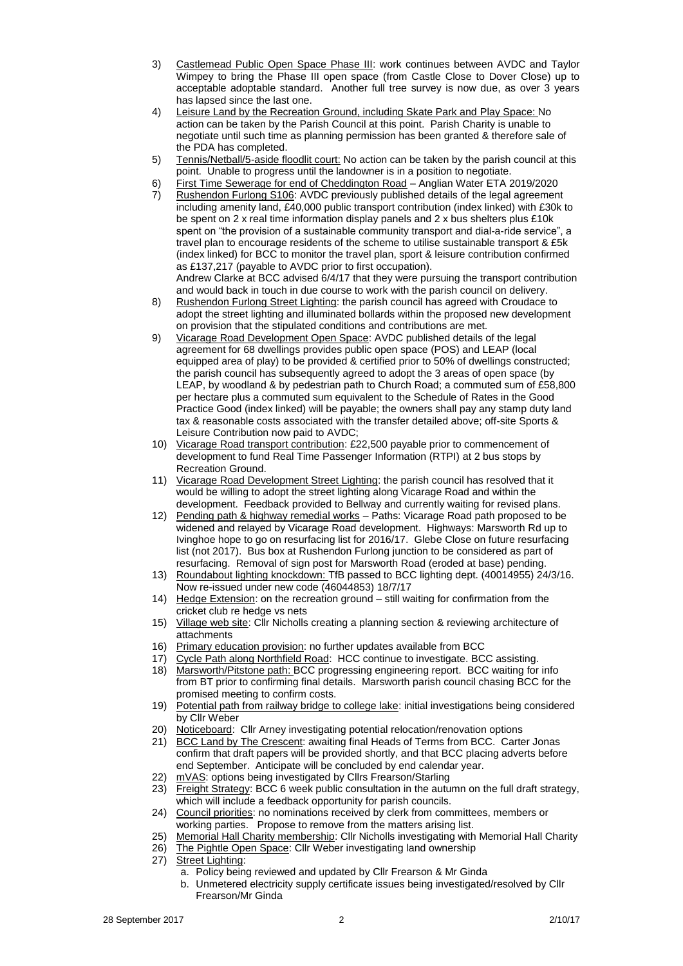- 3) Castlemead Public Open Space Phase III: work continues between AVDC and Taylor Wimpey to bring the Phase III open space (from Castle Close to Dover Close) up to acceptable adoptable standard. Another full tree survey is now due, as over 3 years has lapsed since the last one.
- 4) Leisure Land by the Recreation Ground, including Skate Park and Play Space: No action can be taken by the Parish Council at this point. Parish Charity is unable to negotiate until such time as planning permission has been granted & therefore sale of the PDA has completed.
- 5) Tennis/Netball/5-aside floodlit court: No action can be taken by the parish council at this point. Unable to progress until the landowner is in a position to negotiate.
- 6) First Time Sewerage for end of Cheddington Road Anglian Water ETA 2019/2020
- 7) Rushendon Furlong S106: AVDC previously published details of the legal agreement including amenity land, £40,000 public transport contribution (index linked) with £30k to be spent on 2 x real time information display panels and 2 x bus shelters plus £10k spent on "the provision of a sustainable community transport and dial-a-ride service", a travel plan to encourage residents of the scheme to utilise sustainable transport & £5k (index linked) for BCC to monitor the travel plan, sport & leisure contribution confirmed as £137,217 (payable to AVDC prior to first occupation). Andrew Clarke at BCC advised 6/4/17 that they were pursuing the transport contribution
	- and would back in touch in due course to work with the parish council on delivery.
- 8) Rushendon Furlong Street Lighting: the parish council has agreed with Croudace to adopt the street lighting and illuminated bollards within the proposed new development on provision that the stipulated conditions and contributions are met.
- 9) Vicarage Road Development Open Space: AVDC published details of the legal agreement for 68 dwellings provides public open space (POS) and LEAP (local equipped area of play) to be provided & certified prior to 50% of dwellings constructed; the parish council has subsequently agreed to adopt the 3 areas of open space (by LEAP, by woodland & by pedestrian path to Church Road; a commuted sum of £58,800 per hectare plus a commuted sum equivalent to the Schedule of Rates in the Good Practice Good (index linked) will be payable; the owners shall pay any stamp duty land tax & reasonable costs associated with the transfer detailed above; off-site Sports & Leisure Contribution now paid to AVDC;
- 10) Vicarage Road transport contribution: £22,500 payable prior to commencement of development to fund Real Time Passenger Information (RTPI) at 2 bus stops by Recreation Ground.
- 11) Vicarage Road Development Street Lighting: the parish council has resolved that it would be willing to adopt the street lighting along Vicarage Road and within the development. Feedback provided to Bellway and currently waiting for revised plans.
- 12) Pending path & highway remedial works Paths: Vicarage Road path proposed to be widened and relayed by Vicarage Road development. Highways: Marsworth Rd up to Ivinghoe hope to go on resurfacing list for 2016/17. Glebe Close on future resurfacing list (not 2017). Bus box at Rushendon Furlong junction to be considered as part of resurfacing. Removal of sign post for Marsworth Road (eroded at base) pending.
- 13) Roundabout lighting knockdown: TfB passed to BCC lighting dept. (40014955) 24/3/16. Now re-issued under new code (46044853) 18/7/17
- 14) Hedge Extension: on the recreation ground still waiting for confirmation from the cricket club re hedge vs nets
- 15) Village web site: Cllr Nicholls creating a planning section & reviewing architecture of attachments
- 16) Primary education provision: no further updates available from BCC
- 17) Cycle Path along Northfield Road: HCC continue to investigate. BCC assisting.<br>18) Marsworth/Pitstone path: BCC progressing engineering report. BCC waiting for
- Marsworth/Pitstone path: BCC progressing engineering report. BCC waiting for info from BT prior to confirming final details. Marsworth parish council chasing BCC for the promised meeting to confirm costs.
- 19) Potential path from railway bridge to college lake: initial investigations being considered by Cllr Weber
- 20) Noticeboard: Cllr Arney investigating potential relocation/renovation options
- 21) BCC Land by The Crescent: awaiting final Heads of Terms from BCC. Carter Jonas confirm that draft papers will be provided shortly, and that BCC placing adverts before end September. Anticipate will be concluded by end calendar year.
- 22) mVAS: options being investigated by Cllrs Frearson/Starling
- 23) Freight Strategy: BCC 6 week public consultation in the autumn on the full draft strategy, which will include a feedback opportunity for parish councils.
- 24) Council priorities: no nominations received by clerk from committees, members or working parties. Propose to remove from the matters arising list.
- 25) Memorial Hall Charity membership: Cllr Nicholls investigating with Memorial Hall Charity
- 26) The Pightle Open Space: Cllr Weber investigating land ownership
- 27) Street Lighting:
	- a. Policy being reviewed and updated by Cllr Frearson & Mr Ginda
	- b. Unmetered electricity supply certificate issues being investigated/resolved by Cllr Frearson/Mr Ginda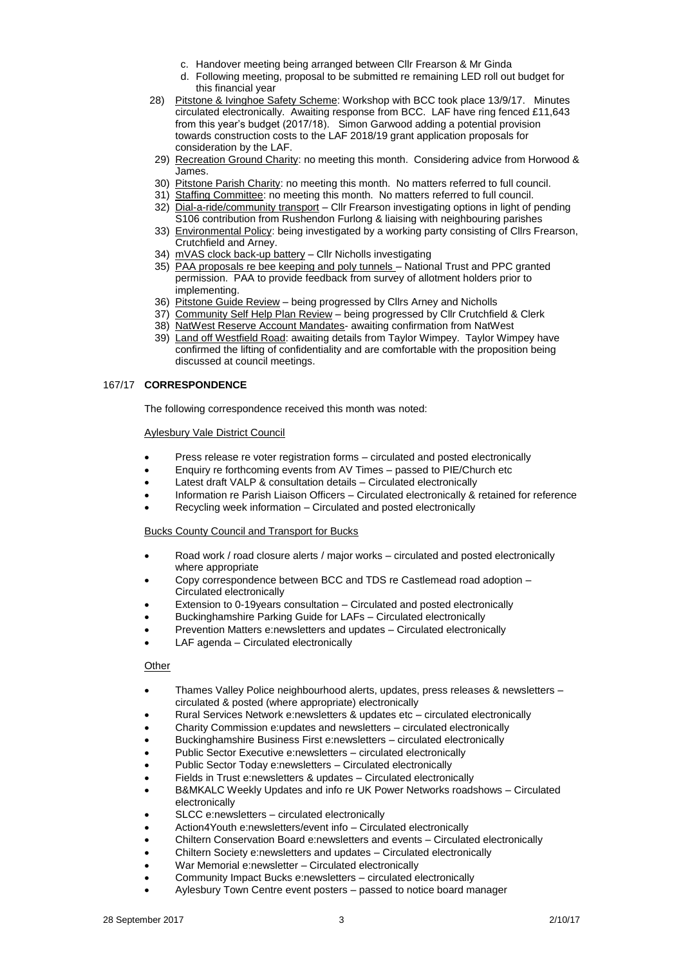- c. Handover meeting being arranged between Cllr Frearson & Mr Ginda
- d. Following meeting, proposal to be submitted re remaining LED roll out budget for this financial year
- 28) Pitstone & Ivinghoe Safety Scheme: Workshop with BCC took place 13/9/17. Minutes circulated electronically. Awaiting response from BCC. LAF have ring fenced £11,643 from this year's budget (2017/18). Simon Garwood adding a potential provision towards construction costs to the LAF 2018/19 grant application proposals for consideration by the LAF.
- 29) Recreation Ground Charity: no meeting this month. Considering advice from Horwood & James.
- 30) Pitstone Parish Charity: no meeting this month. No matters referred to full council.
- 31) Staffing Committee: no meeting this month. No matters referred to full council.
- 32) Dial-a-ride/community transport Cllr Frearson investigating options in light of pending S106 contribution from Rushendon Furlong & liaising with neighbouring parishes
- 33) Environmental Policy: being investigated by a working party consisting of Cllrs Frearson, Crutchfield and Arney.
- 34) mVAS clock back-up battery Cllr Nicholls investigating
- 35) PAA proposals re bee keeping and poly tunnels National Trust and PPC granted permission. PAA to provide feedback from survey of allotment holders prior to implementing.
- 36) Pitstone Guide Review being progressed by Cllrs Arney and Nicholls
- 37) Community Self Help Plan Review being progressed by Cllr Crutchfield & Clerk
- 38) NatWest Reserve Account Mandates- awaiting confirmation from NatWest
- 39) Land off Westfield Road: awaiting details from Taylor Wimpey. Taylor Wimpey have confirmed the lifting of confidentiality and are comfortable with the proposition being discussed at council meetings.

## 167/17 **CORRESPONDENCE**

The following correspondence received this month was noted:

#### Aylesbury Vale District Council

- Press release re voter registration forms circulated and posted electronically
- Enquiry re forthcoming events from AV Times passed to PIE/Church etc
- Latest draft VALP & consultation details Circulated electronically
- Information re Parish Liaison Officers Circulated electronically & retained for reference
- Recycling week information Circulated and posted electronically

#### Bucks County Council and Transport for Bucks

- Road work / road closure alerts / major works circulated and posted electronically where appropriate
- Copy correspondence between BCC and TDS re Castlemead road adoption Circulated electronically
- Extension to 0-19years consultation Circulated and posted electronically
- Buckinghamshire Parking Guide for LAFs Circulated electronically
- Prevention Matters e:newsletters and updates Circulated electronically
- LAF agenda Circulated electronically

## **Other**

- Thames Valley Police neighbourhood alerts, updates, press releases & newsletters circulated & posted (where appropriate) electronically
- Rural Services Network e:newsletters & updates etc circulated electronically
- Charity Commission e:updates and newsletters circulated electronically
- Buckinghamshire Business First e:newsletters circulated electronically
- Public Sector Executive e:newsletters circulated electronically
- Public Sector Today e:newsletters Circulated electronically
- Fields in Trust e:newsletters & updates Circulated electronically
- B&MKALC Weekly Updates and info re UK Power Networks roadshows Circulated electronically
- SLCC e:newsletters circulated electronically
- Action4Youth e:newsletters/event info Circulated electronically
- Chiltern Conservation Board e:newsletters and events Circulated electronically
- Chiltern Society e:newsletters and updates Circulated electronically
- War Memorial e:newsletter Circulated electronically
- Community Impact Bucks e:newsletters circulated electronically
- Aylesbury Town Centre event posters passed to notice board manager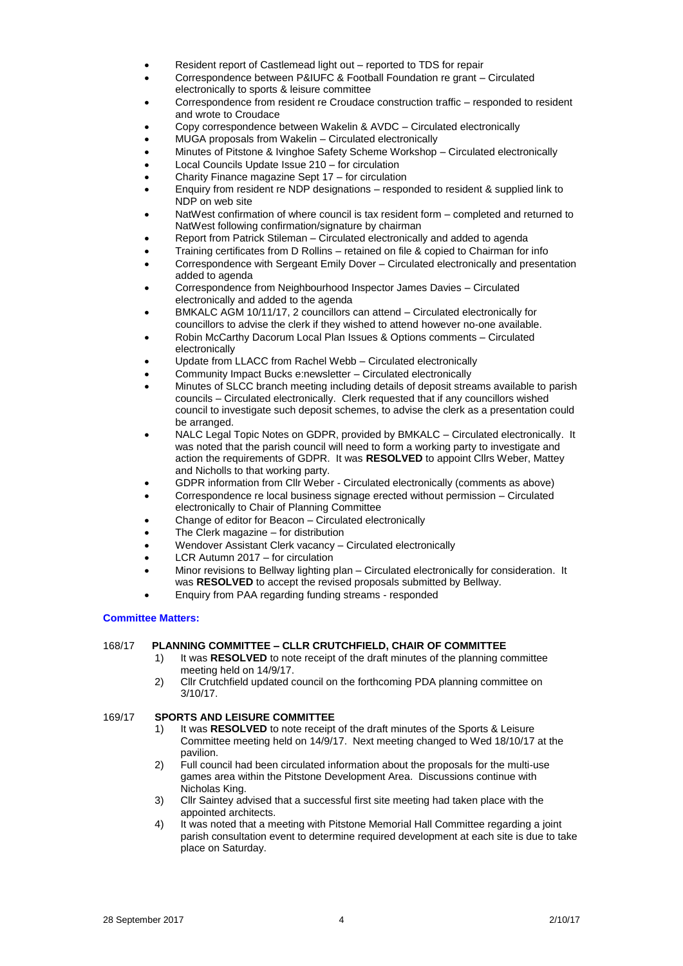- Resident report of Castlemead light out reported to TDS for repair
- Correspondence between P&IUFC & Football Foundation re grant Circulated electronically to sports & leisure committee
- Correspondence from resident re Croudace construction traffic responded to resident and wrote to Croudace
- Copy correspondence between Wakelin & AVDC Circulated electronically
- MUGA proposals from Wakelin Circulated electronically
- Minutes of Pitstone & Ivinghoe Safety Scheme Workshop Circulated electronically
- Local Councils Update Issue 210 for circulation
- Charity Finance magazine Sept 17 for circulation
- Enquiry from resident re NDP designations responded to resident & supplied link to NDP on web site
- NatWest confirmation of where council is tax resident form completed and returned to NatWest following confirmation/signature by chairman
- Report from Patrick Stileman Circulated electronically and added to agenda
- Training certificates from D Rollins retained on file & copied to Chairman for info
- Correspondence with Sergeant Emily Dover Circulated electronically and presentation added to agenda
- Correspondence from Neighbourhood Inspector James Davies Circulated electronically and added to the agenda
- BMKALC AGM 10/11/17, 2 councillors can attend Circulated electronically for councillors to advise the clerk if they wished to attend however no-one available.
- Robin McCarthy Dacorum Local Plan Issues & Options comments Circulated electronically
- Update from LLACC from Rachel Webb Circulated electronically
- Community Impact Bucks e:newsletter Circulated electronically
- Minutes of SLCC branch meeting including details of deposit streams available to parish councils – Circulated electronically. Clerk requested that if any councillors wished council to investigate such deposit schemes, to advise the clerk as a presentation could be arranged.
- NALC Legal Topic Notes on GDPR, provided by BMKALC Circulated electronically. It was noted that the parish council will need to form a working party to investigate and action the requirements of GDPR. It was **RESOLVED** to appoint Cllrs Weber, Mattey and Nicholls to that working party.
- GDPR information from Cllr Weber Circulated electronically (comments as above)
- Correspondence re local business signage erected without permission Circulated electronically to Chair of Planning Committee
- Change of editor for Beacon Circulated electronically
- The Clerk magazine for distribution
- Wendover Assistant Clerk vacancy Circulated electronically
- LCR Autumn 2017 for circulation
- Minor revisions to Bellway lighting plan Circulated electronically for consideration. It was **RESOLVED** to accept the revised proposals submitted by Bellway.
- Enquiry from PAA regarding funding streams responded

#### **Committee Matters:**

# 168/17 **PLANNING COMMITTEE – CLLR CRUTCHFIELD, CHAIR OF COMMITTEE**

- 1) It was **RESOLVED** to note receipt of the draft minutes of the planning committee meeting held on 14/9/17.
- 2) Cllr Crutchfield updated council on the forthcoming PDA planning committee on 3/10/17.

#### 169/17 **SPORTS AND LEISURE COMMITTEE**

- 1) It was **RESOLVED** to note receipt of the draft minutes of the Sports & Leisure Committee meeting held on 14/9/17. Next meeting changed to Wed 18/10/17 at the pavilion.
- 2) Full council had been circulated information about the proposals for the multi-use games area within the Pitstone Development Area. Discussions continue with Nicholas King.
- 3) Cllr Saintey advised that a successful first site meeting had taken place with the appointed architects.
- 4) It was noted that a meeting with Pitstone Memorial Hall Committee regarding a joint parish consultation event to determine required development at each site is due to take place on Saturday.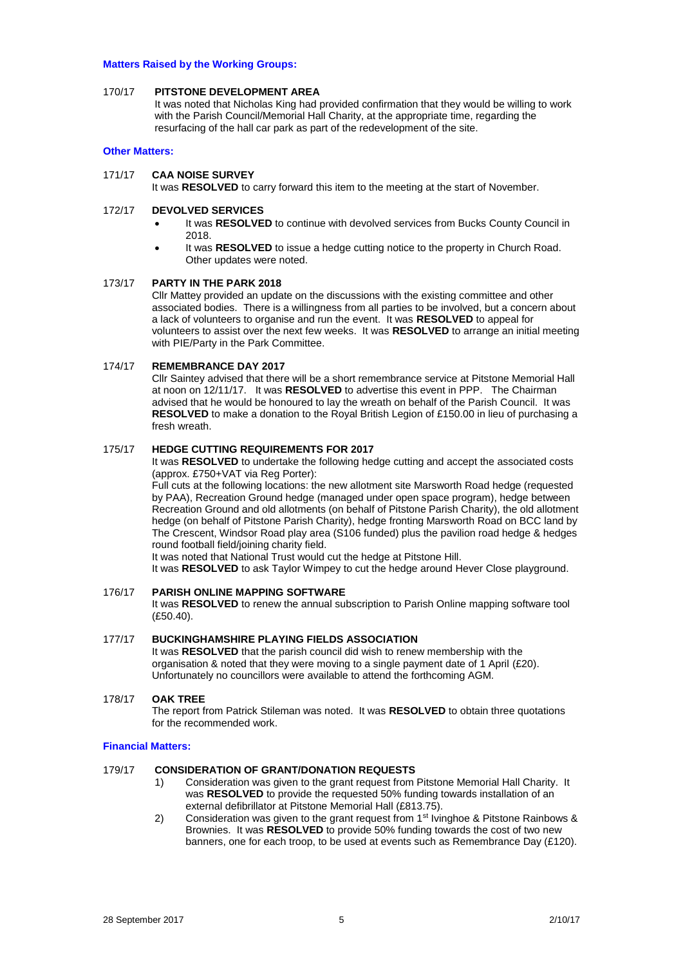#### **Matters Raised by the Working Groups:**

#### 170/17 **PITSTONE DEVELOPMENT AREA**

It was noted that Nicholas King had provided confirmation that they would be willing to work with the Parish Council/Memorial Hall Charity, at the appropriate time, regarding the resurfacing of the hall car park as part of the redevelopment of the site.

#### **Other Matters:**

## 171/17 **CAA NOISE SURVEY**

It was **RESOLVED** to carry forward this item to the meeting at the start of November.

## 172/17 **DEVOLVED SERVICES**

- It was **RESOLVED** to continue with devolved services from Bucks County Council in 2018.
- It was **RESOLVED** to issue a hedge cutting notice to the property in Church Road. Other updates were noted.

## 173/17 **PARTY IN THE PARK 2018**

Cllr Mattey provided an update on the discussions with the existing committee and other associated bodies. There is a willingness from all parties to be involved, but a concern about a lack of volunteers to organise and run the event. It was **RESOLVED** to appeal for volunteers to assist over the next few weeks. It was **RESOLVED** to arrange an initial meeting with PIE/Party in the Park Committee.

#### 174/17 **REMEMBRANCE DAY 2017**

Cllr Saintey advised that there will be a short remembrance service at Pitstone Memorial Hall at noon on 12/11/17. It was **RESOLVED** to advertise this event in PPP. The Chairman advised that he would be honoured to lay the wreath on behalf of the Parish Council. It was **RESOLVED** to make a donation to the Royal British Legion of £150.00 in lieu of purchasing a fresh wreath.

# 175/17 **HEDGE CUTTING REQUIREMENTS FOR 2017**

It was **RESOLVED** to undertake the following hedge cutting and accept the associated costs (approx. £750+VAT via Reg Porter):

Full cuts at the following locations: the new allotment site Marsworth Road hedge (requested by PAA), Recreation Ground hedge (managed under open space program), hedge between Recreation Ground and old allotments (on behalf of Pitstone Parish Charity), the old allotment hedge (on behalf of Pitstone Parish Charity), hedge fronting Marsworth Road on BCC land by The Crescent, Windsor Road play area (S106 funded) plus the pavilion road hedge & hedges round football field/joining charity field.

It was noted that National Trust would cut the hedge at Pitstone Hill.

It was **RESOLVED** to ask Taylor Wimpey to cut the hedge around Hever Close playground.

#### 176/17 **PARISH ONLINE MAPPING SOFTWARE**

It was **RESOLVED** to renew the annual subscription to Parish Online mapping software tool (£50.40).

## 177/17 **BUCKINGHAMSHIRE PLAYING FIELDS ASSOCIATION**

It was **RESOLVED** that the parish council did wish to renew membership with the organisation & noted that they were moving to a single payment date of 1 April (£20). Unfortunately no councillors were available to attend the forthcoming AGM.

## 178/17 **OAK TREE**

The report from Patrick Stileman was noted. It was **RESOLVED** to obtain three quotations for the recommended work.

#### **Financial Matters:**

#### 179/17 **CONSIDERATION OF GRANT/DONATION REQUESTS**

- 1) Consideration was given to the grant request from Pitstone Memorial Hall Charity. It was **RESOLVED** to provide the requested 50% funding towards installation of an external defibrillator at Pitstone Memorial Hall (£813.75).
- 2) Consideration was given to the grant request from 1<sup>st</sup> Ivinghoe & Pitstone Rainbows & Brownies. It was **RESOLVED** to provide 50% funding towards the cost of two new banners, one for each troop, to be used at events such as Remembrance Day (£120).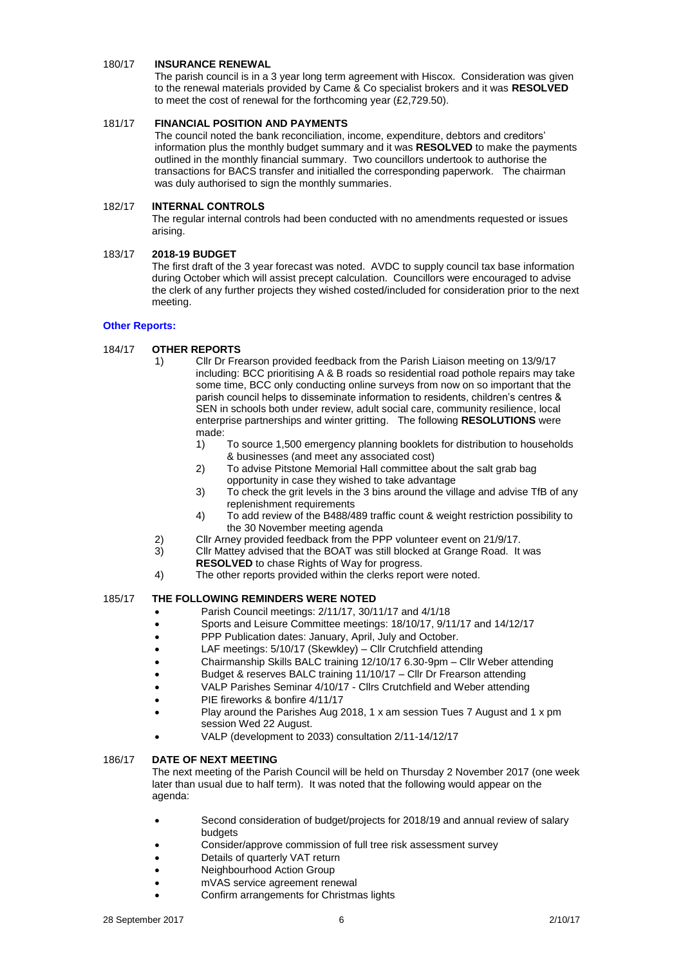## 180/17 **INSURANCE RENEWAL**

The parish council is in a 3 year long term agreement with Hiscox. Consideration was given to the renewal materials provided by Came & Co specialist brokers and it was **RESOLVED** to meet the cost of renewal for the forthcoming year (£2,729.50).

# 181/17 **FINANCIAL POSITION AND PAYMENTS**

The council noted the bank reconciliation, income, expenditure, debtors and creditors' information plus the monthly budget summary and it was **RESOLVED** to make the payments outlined in the monthly financial summary. Two councillors undertook to authorise the transactions for BACS transfer and initialled the corresponding paperwork. The chairman was duly authorised to sign the monthly summaries.

# 182/17 **INTERNAL CONTROLS**

The regular internal controls had been conducted with no amendments requested or issues arising.

## 183/17 **2018-19 BUDGET**

The first draft of the 3 year forecast was noted. AVDC to supply council tax base information during October which will assist precept calculation. Councillors were encouraged to advise the clerk of any further projects they wished costed/included for consideration prior to the next meeting.

## **Other Reports:**

# 184/17 **OTHER REPORTS**

- 1) Cllr Dr Frearson provided feedback from the Parish Liaison meeting on 13/9/17 including: BCC prioritising A & B roads so residential road pothole repairs may take some time, BCC only conducting online surveys from now on so important that the parish council helps to disseminate information to residents, children's centres & SEN in schools both under review, adult social care, community resilience, local enterprise partnerships and winter gritting. The following **RESOLUTIONS** were made:
	- 1) To source 1,500 emergency planning booklets for distribution to households & businesses (and meet any associated cost)
	- 2) To advise Pitstone Memorial Hall committee about the salt grab bag opportunity in case they wished to take advantage
	- 3) To check the grit levels in the 3 bins around the village and advise TfB of any replenishment requirements
	- 4) To add review of the B488/489 traffic count & weight restriction possibility to the 30 November meeting agenda
- 2) Cllr Arney provided feedback from the PPP volunteer event on 21/9/17.<br>3) Cllr Mattev advised that the BOAT was still blocked at Grange Road. It
	- 3) Cllr Mattey advised that the BOAT was still blocked at Grange Road. It was **RESOLVED** to chase Rights of Way for progress.
- 4) The other reports provided within the clerks report were noted.

# 185/17 **THE FOLLOWING REMINDERS WERE NOTED**

- Parish Council meetings: 2/11/17, 30/11/17 and 4/1/18
- Sports and Leisure Committee meetings: 18/10/17, 9/11/17 and 14/12/17
- PPP Publication dates: January, April, July and October.
- LAF meetings: 5/10/17 (Skewkley) Cllr Crutchfield attending
- Chairmanship Skills BALC training 12/10/17 6.30-9pm Cllr Weber attending
- Budget & reserves BALC training 11/10/17 Cllr Dr Frearson attending
- VALP Parishes Seminar 4/10/17 Cllrs Crutchfield and Weber attending
- PIE fireworks & bonfire 4/11/17
- Play around the Parishes Aug 2018, 1 x am session Tues 7 August and 1 x pm session Wed 22 August.
- VALP (development to 2033) consultation 2/11-14/12/17

## 186/17 **DATE OF NEXT MEETING**

The next meeting of the Parish Council will be held on Thursday 2 November 2017 (one week later than usual due to half term). It was noted that the following would appear on the agenda:

- Second consideration of budget/projects for 2018/19 and annual review of salary budgets
- Consider/approve commission of full tree risk assessment survey
- Details of quarterly VAT return
- Neighbourhood Action Group
- mVAS service agreement renewal
- Confirm arrangements for Christmas lights